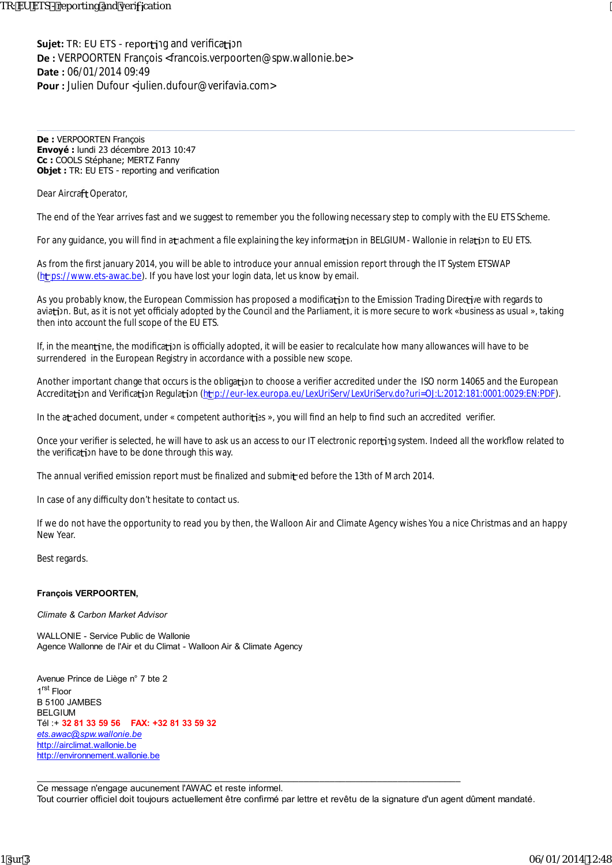**Sujet:** TR: EU ETS - reporting and verification **De :** VERPOORTEN François <francois.verpoorten@spw.wallonie.be> **Date :** 06/01/2014 09:49 **Pour :** Julien Dufour <julien.dufour@verifavia.com>

**De :** VERPOORTEN François **Envoyé :** lundi 23 décembre 2013 10:47 **Cc :** COOLS Stéphane; MERTZ Fanny **Objet :** TR: EU ETS - reporting and verification

Dear Aircraft Operator,

The end of the Year arrives fast and we suggest to remember you the following necessary step to comply with the EU ETS Scheme.

For any guidance, you will find in atlachment a file explaining the key information in BELGIUM-Wallonie in relation to EU ETS.

As from the first january 2014, you will be able to introduce your annual emission report through the IT System ETSWAP (https://www.ets-awac.be). If you have lost your login data, let us know by email.

As you probably know, the European Commission has proposed a modification to the Emission Trading Directive with regards to aviation. But, as it is not yet o cialy adopted by the Council and the Parliament, it is more secure to work «business as usual », taking then into account the full scope of the EU ETS.

If, in the mean time, the modification is o cially adopted, it will be easier to recalculate how many allowances will have to be surrendered in the European Registry in accordance with a possible new scope.

Another important change that occurs is the obligation to choose a verifier accredited under the ISO norm 14065 and the European Accreditation and Verification Regulation (http://eur-lex.europa.eu/LexUriServ/LexUriServ.do?uri=OJ:L:2012:181:0001:0029:EN:PDF).

In the a and document, under « competent authorities », you will find an help to find such an accredited verifier.

Once your verifier is selected, he will have to ask us an access to our IT electronic reporting system. Indeed all the workflow related to the verification have to be done through this way.

The annual verified emission report must be finalized and submitled before the 13th of March 2014.

In case of any di culty don't hesitate to contact us.

If we do not have the opportunity to read you by then, the Walloon Air and Climate Agency wishes You a nice Christmas and an happy New Year.

Best regards.

## **François VERPOORTEN,**

*Climate & Carbon Market Advisor*

WALLONIE - Service Public de Wallonie Agence Wallonne de l'Air et du Climat - Walloon Air & Climate Agency

Avenue Prince de Liège n° 7 bte 2 1 rst Floor B 5100 JAMBES BELGIUM Tél :+ **32 81 33 59 56 FAX: +32 81 33 59 32** *ets.awac@spw.wallonie.be* http://airclimat.wallonie.be http://environnement.wallonie.be

Ce message n'engage aucunement l'AWAC et reste informel. Tout courrier officiel doit toujours actuellement être confirmé par lettre et revêtu de la signature d'un agent dûment mandaté.

\_\_\_\_\_\_\_\_\_\_\_\_\_\_\_\_\_\_\_\_\_\_\_\_\_\_\_\_\_\_\_\_\_\_\_\_\_\_\_\_\_\_\_\_\_\_\_\_\_\_\_\_\_\_\_\_\_\_\_\_\_\_\_\_\_\_\_\_\_\_\_\_\_\_\_\_\_\_\_\_\_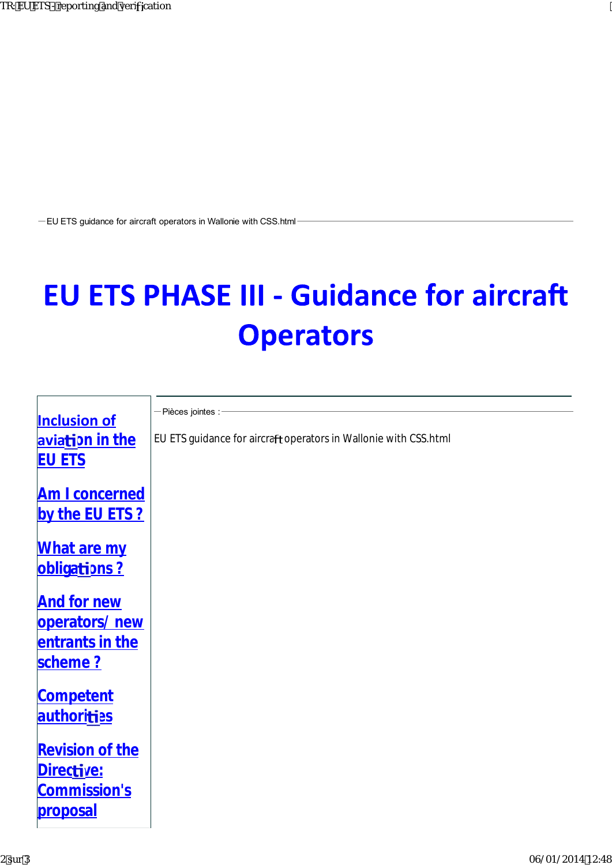-EU ETS guidance for aircraft operators in Wallonie with CSS.html

## **EU ETS PHASE III - Guidance for aircraft Operators**

| <b>Inclusion of</b>         | -Pièces jointes :                                                |
|-----------------------------|------------------------------------------------------------------|
| aviation in the             | EU ETS guidance for aircraft operators in Wallonie with CSS.html |
| <b>EU ETS</b>               |                                                                  |
| <b>Am I concerned</b>       |                                                                  |
| by the EU ETS ?             |                                                                  |
| What are my<br>obligations? |                                                                  |
| <b>And for new</b>          |                                                                  |
| operators/new               |                                                                  |
| entrants in the             |                                                                  |
| scheme?                     |                                                                  |
| <b>Competent</b>            |                                                                  |
| authorities                 |                                                                  |
| <b>Revision of the</b>      |                                                                  |
| Directive:                  |                                                                  |
| Commission's                |                                                                  |
| proposal                    |                                                                  |
|                             |                                                                  |